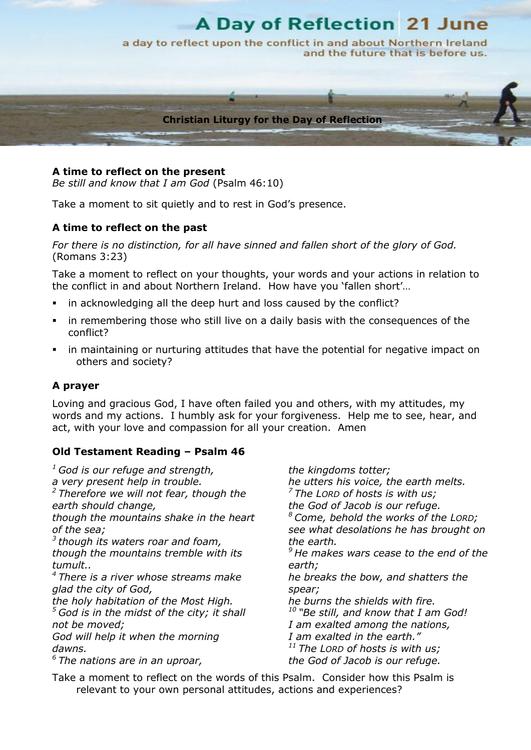

#### **A time to reflect on the present**

*Be still and know that I am God* (Psalm 46:10)

Take a moment to sit quietly and to rest in God's presence.

### **A time to reflect on the past**

*For there is no distinction, for all have sinned and fallen short of the glory of God.* (Romans 3:23)

Take a moment to reflect on your thoughts, your words and your actions in relation to the conflict in and about Northern Ireland. How have you 'fallen short'…

- **i** in acknowledging all the deep hurt and loss caused by the conflict?
- in remembering those who still live on a daily basis with the consequences of the conflict?
- in maintaining or nurturing attitudes that have the potential for negative impact on others and society?

### **A prayer**

Loving and gracious God, I have often failed you and others, with my attitudes, my words and my actions. I humbly ask for your forgiveness. Help me to see, hear, and act, with your love and compassion for all your creation. Amen

### **Old Testament Reading – Psalm 46**

| $1$ God is our refuge and strength,                 | the kingdoms totter;                             |
|-----------------------------------------------------|--------------------------------------------------|
| a very present help in trouble.                     | he utters his voice, the earth melts.            |
| <sup>2</sup> Therefore we will not fear, though the | $\frac{7}{7}$ The LORD of hosts is with us;      |
| earth should change,                                | the God of Jacob is our refuge.                  |
| though the mountains shake in the heart             | <sup>8</sup> Come, behold the works of the LORD; |
| of the sea;                                         | see what desolations he has brought on           |
| $3$ though its waters roar and foam,                | the earth.                                       |
| though the mountains tremble with its               | $9$ He makes wars cease to the end of the        |
| tumult                                              | earth;                                           |
| <sup>4</sup> There is a river whose streams make    | he breaks the bow, and shatters the              |
| glad the city of God,                               | spear;                                           |
| the holy habitation of the Most High.               | he burns the shields with fire.                  |
| $5$ God is in the midst of the city; it shall       | $10$ "Be still, and know that I am God!          |
| not be moved;                                       | I am exalted among the nations,                  |
| God will help it when the morning                   | I am exalted in the earth."                      |
| dawns.                                              | <sup>11</sup> The LORD of hosts is with us;      |
| <sup>6</sup> The nations are in an uproar,          | the God of Jacob is our refuge.                  |

Take a moment to reflect on the words of this Psalm. Consider how this Psalm is relevant to your own personal attitudes, actions and experiences?